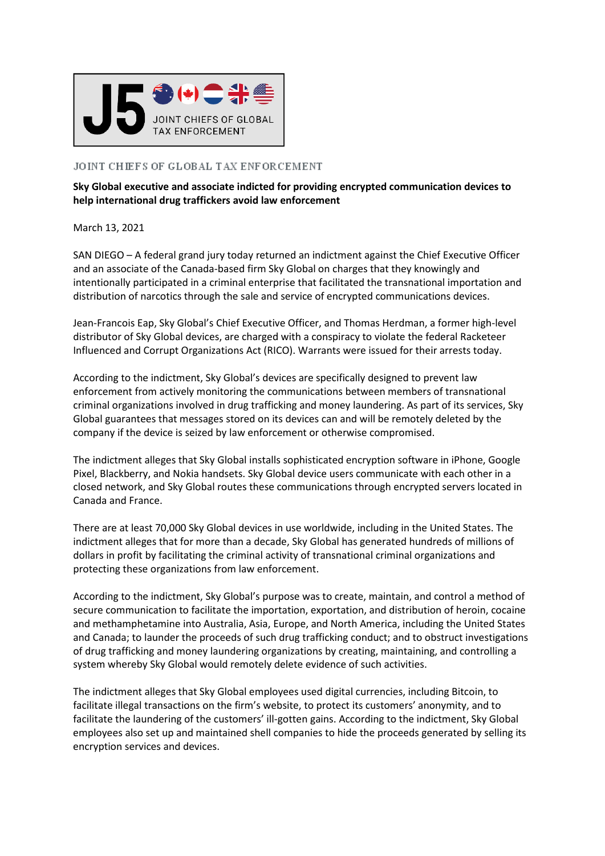

## JOINT CHIEFS OF GLOBAL TAX ENFORCEMENT

**Sky Global executive and associate indicted for providing encrypted communication devices to help international drug traffickers avoid law enforcement**

## March 13, 2021

SAN DIEGO – A federal grand jury today returned an indictment against the Chief Executive Officer and an associate of the Canada-based firm Sky Global on charges that they knowingly and intentionally participated in a criminal enterprise that facilitated the transnational importation and distribution of narcotics through the sale and service of encrypted communications devices.

Jean-Francois Eap, Sky Global's Chief Executive Officer, and Thomas Herdman, a former high-level distributor of Sky Global devices, are charged with a conspiracy to violate the federal Racketeer Influenced and Corrupt Organizations Act (RICO). Warrants were issued for their arrests today.

According to the indictment, Sky Global's devices are specifically designed to prevent law enforcement from actively monitoring the communications between members of transnational criminal organizations involved in drug trafficking and money laundering. As part of its services, Sky Global guarantees that messages stored on its devices can and will be remotely deleted by the company if the device is seized by law enforcement or otherwise compromised.

The indictment alleges that Sky Global installs sophisticated encryption software in iPhone, Google Pixel, Blackberry, and Nokia handsets. Sky Global device users communicate with each other in a closed network, and Sky Global routes these communications through encrypted servers located in Canada and France.

There are at least 70,000 Sky Global devices in use worldwide, including in the United States. The indictment alleges that for more than a decade, Sky Global has generated hundreds of millions of dollars in profit by facilitating the criminal activity of transnational criminal organizations and protecting these organizations from law enforcement.

According to the indictment, Sky Global's purpose was to create, maintain, and control a method of secure communication to facilitate the importation, exportation, and distribution of heroin, cocaine and methamphetamine into Australia, Asia, Europe, and North America, including the United States and Canada; to launder the proceeds of such drug trafficking conduct; and to obstruct investigations of drug trafficking and money laundering organizations by creating, maintaining, and controlling a system whereby Sky Global would remotely delete evidence of such activities.

The indictment alleges that Sky Global employees used digital currencies, including Bitcoin, to facilitate illegal transactions on the firm's website, to protect its customers' anonymity, and to facilitate the laundering of the customers' ill-gotten gains. According to the indictment, Sky Global employees also set up and maintained shell companies to hide the proceeds generated by selling its encryption services and devices.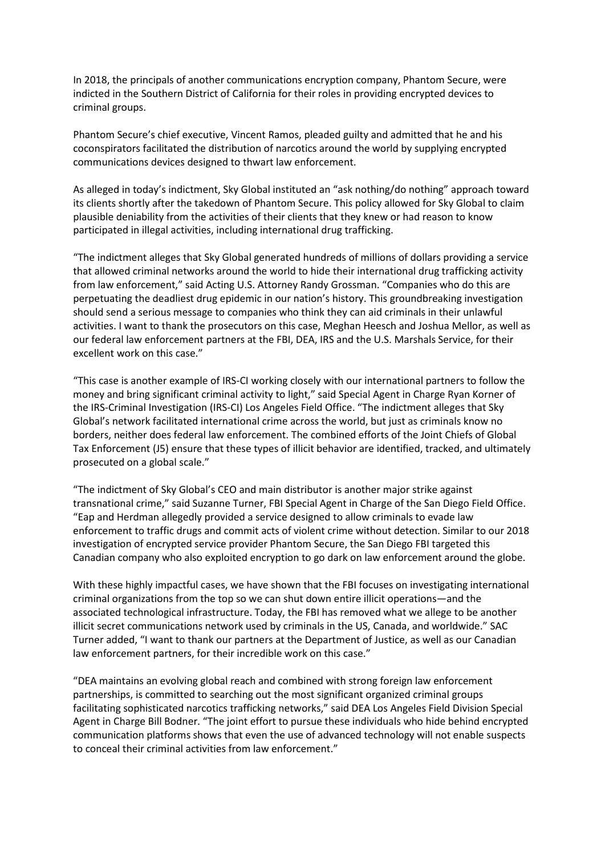In 2018, the principals of another communications encryption company, Phantom Secure, were indicted in the Southern District of California for their roles in providing encrypted devices to criminal groups.

Phantom Secure's chief executive, Vincent Ramos, pleaded guilty and admitted that he and his coconspirators facilitated the distribution of narcotics around the world by supplying encrypted communications devices designed to thwart law enforcement.

As alleged in today's indictment, Sky Global instituted an "ask nothing/do nothing" approach toward its clients shortly after the takedown of Phantom Secure. This policy allowed for Sky Global to claim plausible deniability from the activities of their clients that they knew or had reason to know participated in illegal activities, including international drug trafficking.

"The indictment alleges that Sky Global generated hundreds of millions of dollars providing a service that allowed criminal networks around the world to hide their international drug trafficking activity from law enforcement," said Acting U.S. Attorney Randy Grossman. "Companies who do this are perpetuating the deadliest drug epidemic in our nation's history. This groundbreaking investigation should send a serious message to companies who think they can aid criminals in their unlawful activities. I want to thank the prosecutors on this case, Meghan Heesch and Joshua Mellor, as well as our federal law enforcement partners at the FBI, DEA, IRS and the U.S. Marshals Service, for their excellent work on this case."

"This case is another example of IRS-CI working closely with our international partners to follow the money and bring significant criminal activity to light," said Special Agent in Charge Ryan Korner of the IRS-Criminal Investigation (IRS-CI) Los Angeles Field Office. "The indictment alleges that Sky Global's network facilitated international crime across the world, but just as criminals know no borders, neither does federal law enforcement. The combined efforts of the Joint Chiefs of Global Tax Enforcement (J5) ensure that these types of illicit behavior are identified, tracked, and ultimately prosecuted on a global scale."

"The indictment of Sky Global's CEO and main distributor is another major strike against transnational crime," said Suzanne Turner, FBI Special Agent in Charge of the San Diego Field Office. "Eap and Herdman allegedly provided a service designed to allow criminals to evade law enforcement to traffic drugs and commit acts of violent crime without detection. Similar to our 2018 investigation of encrypted service provider Phantom Secure, the San Diego FBI targeted this Canadian company who also exploited encryption to go dark on law enforcement around the globe.

With these highly impactful cases, we have shown that the FBI focuses on investigating international criminal organizations from the top so we can shut down entire illicit operations—and the associated technological infrastructure. Today, the FBI has removed what we allege to be another illicit secret communications network used by criminals in the US, Canada, and worldwide." SAC Turner added, "I want to thank our partners at the Department of Justice, as well as our Canadian law enforcement partners, for their incredible work on this case."

"DEA maintains an evolving global reach and combined with strong foreign law enforcement partnerships, is committed to searching out the most significant organized criminal groups facilitating sophisticated narcotics trafficking networks," said DEA Los Angeles Field Division Special Agent in Charge Bill Bodner. "The joint effort to pursue these individuals who hide behind encrypted communication platforms shows that even the use of advanced technology will not enable suspects to conceal their criminal activities from law enforcement."